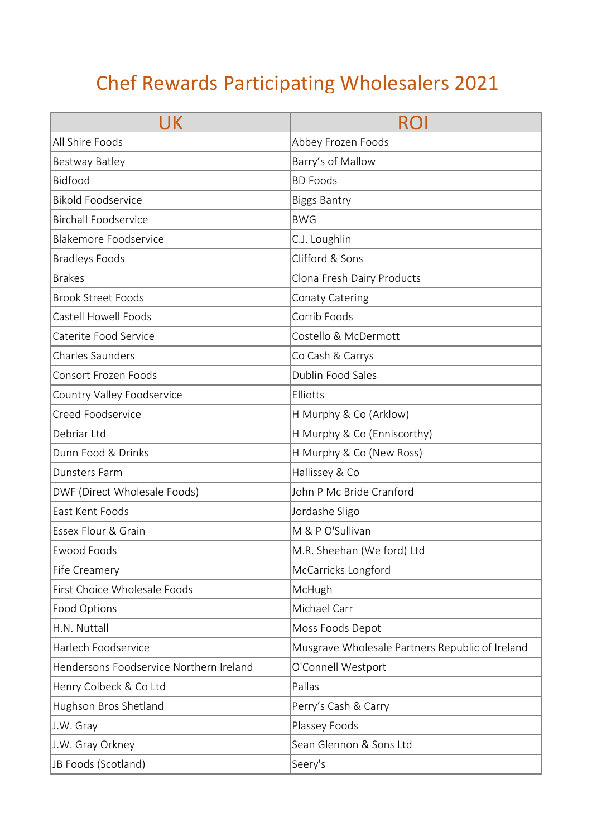## Chef Rewards Participating Wholesalers 2021

| UK                                      |                                                 |
|-----------------------------------------|-------------------------------------------------|
| All Shire Foods                         | Abbey Frozen Foods                              |
| Bestway Batley                          | Barry's of Mallow                               |
| <b>Bidfood</b>                          | <b>BD Foods</b>                                 |
| <b>Bikold Foodservice</b>               | <b>Biggs Bantry</b>                             |
| <b>Birchall Foodservice</b>             | <b>BWG</b>                                      |
| <b>Blakemore Foodservice</b>            | C.J. Loughlin                                   |
| <b>Bradleys Foods</b>                   | Clifford & Sons                                 |
| <b>Brakes</b>                           | Clona Fresh Dairy Products                      |
| <b>Brook Street Foods</b>               | <b>Conaty Catering</b>                          |
| Castell Howell Foods                    | Corrib Foods                                    |
| Caterite Food Service                   | Costello & McDermott                            |
| <b>Charles Saunders</b>                 | Co Cash & Carrys                                |
| <b>Consort Frozen Foods</b>             | Dublin Food Sales                               |
| Country Valley Foodservice              | Elliotts                                        |
| Creed Foodservice                       | H Murphy & Co (Arklow)                          |
| Debriar Ltd                             | H Murphy & Co (Enniscorthy)                     |
| Dunn Food & Drinks                      | H Murphy & Co (New Ross)                        |
| Dunsters Farm                           | Hallissey & Co                                  |
| DWF (Direct Wholesale Foods)            | John P Mc Bride Cranford                        |
| East Kent Foods                         | Jordashe Sligo                                  |
| Essex Flour & Grain                     | M & P O'Sullivan                                |
| <b>Ewood Foods</b>                      | M.R. Sheehan (We ford) Ltd                      |
| Fife Creamery                           | McCarricks Longford                             |
| First Choice Wholesale Foods            | McHugh                                          |
| Food Options                            | Michael Carr                                    |
| H.N. Nuttall                            | Moss Foods Depot                                |
| Harlech Foodservice                     | Musgrave Wholesale Partners Republic of Ireland |
| Hendersons Foodservice Northern Ireland | O'Connell Westport                              |
| Henry Colbeck & Co Ltd                  | Pallas                                          |
| Hughson Bros Shetland                   | Perry's Cash & Carry                            |
| J.W. Gray                               | Plassey Foods                                   |
| J.W. Gray Orkney                        | Sean Glennon & Sons Ltd                         |
| JB Foods (Scotland)                     | Seery's                                         |